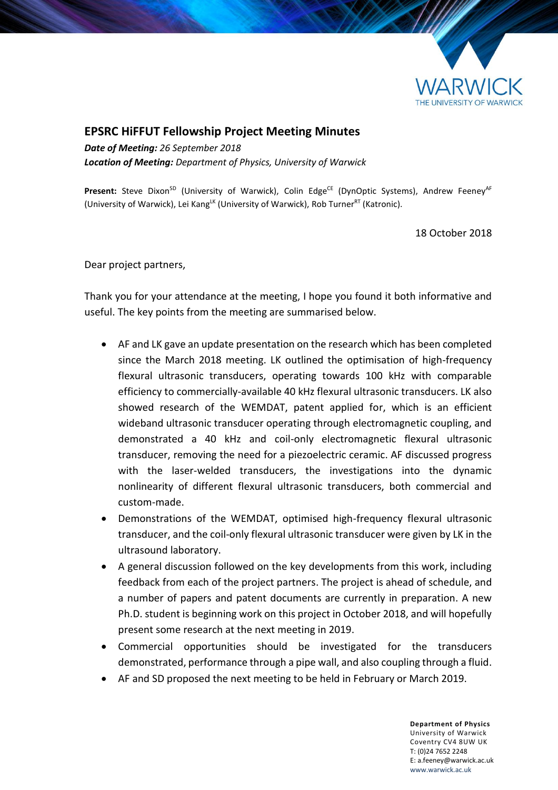

## **EPSRC HiFFUT Fellowship Project Meeting Minutes**

*Date of Meeting: 26 September 2018 Location of Meeting: Department of Physics, University of Warwick*

Present: Steve Dixon<sup>SD</sup> (University of Warwick), Colin Edge<sup>CE</sup> (DynOptic Systems), Andrew Feeney<sup>AF</sup> (University of Warwick), Lei Kang<sup>LK</sup> (University of Warwick), Rob Turner<sup>RT</sup> (Katronic).

18 October 2018

Dear project partners,

Thank you for your attendance at the meeting, I hope you found it both informative and useful. The key points from the meeting are summarised below.

- AF and LK gave an update presentation on the research which has been completed since the March 2018 meeting. LK outlined the optimisation of high-frequency flexural ultrasonic transducers, operating towards 100 kHz with comparable efficiency to commercially-available 40 kHz flexural ultrasonic transducers. LK also showed research of the WEMDAT, patent applied for, which is an efficient wideband ultrasonic transducer operating through electromagnetic coupling, and demonstrated a 40 kHz and coil-only electromagnetic flexural ultrasonic transducer, removing the need for a piezoelectric ceramic. AF discussed progress with the laser-welded transducers, the investigations into the dynamic nonlinearity of different flexural ultrasonic transducers, both commercial and custom-made.
- Demonstrations of the WEMDAT, optimised high-frequency flexural ultrasonic transducer, and the coil-only flexural ultrasonic transducer were given by LK in the ultrasound laboratory.
- A general discussion followed on the key developments from this work, including feedback from each of the project partners. The project is ahead of schedule, and a number of papers and patent documents are currently in preparation. A new Ph.D. student is beginning work on this project in October 2018, and will hopefully present some research at the next meeting in 2019.
- Commercial opportunities should be investigated for the transducers demonstrated, performance through a pipe wall, and also coupling through a fluid.
- AF and SD proposed the next meeting to be held in February or March 2019.

**Department of Physics** University of Warwick Coventry CV4 8UW UK T: (0)24 7652 2248 E: a.feeney@warwick.ac.uk <www.warwick.ac.uk>